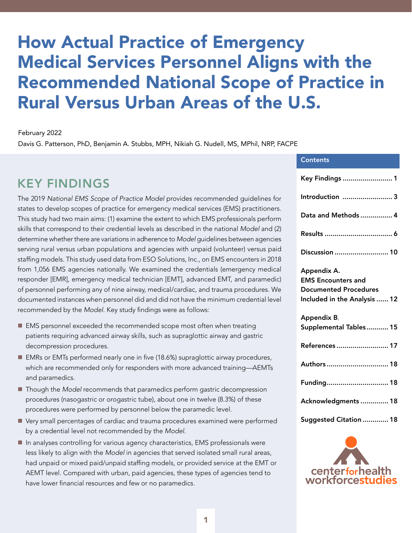# How Actual Practice of Emergency Medical Services Personnel Aligns with the Recommended National Scope of Practice in Rural Versus Urban Areas of the U.S.

#### February 2022

Davis G. Patterson, PhD, Benjamin A. Stubbs, MPH, Nikiah G. Nudell, MS, MPhil, NRP, FACPE

### KEY FINDINGS

The 2019 *National EMS Scope of Practice Model* provides recommended guidelines for states to develop scopes of practice for emergency medical services (EMS) practitioners. This study had two main aims: (1) examine the extent to which EMS professionals perform skills that correspond to their credential levels as described in the national *Model* and (2) determine whether there are variations in adherence to *Model* guidelines between agencies serving rural versus urban populations and agencies with unpaid (volunteer) versus paid staffing models. This study used data from ESO Solutions, Inc., on EMS encounters in 2018 from 1,056 EMS agencies nationally. We examined the credentials (emergency medical responder [EMR], emergency medical technician [EMT], advanced EMT, and paramedic) of personnel performing any of nine airway, medical/cardiac, and trauma procedures. We documented instances when personnel did and did not have the minimum credential level recommended by the *Model*. Key study findings were as follows:

- EMS personnel exceeded the recommended scope most often when treating patients requiring advanced airway skills, such as supraglottic airway and gastric decompression procedures.
- EMRs or EMTs performed nearly one in five (18.6%) supraglottic airway procedures, which are recommended only for responders with more advanced training—AEMTs and paramedics.
- Though the *Model* recommends that paramedics perform gastric decompression procedures (nasogastric or orogastric tube), about one in twelve (8.3%) of these procedures were performed by personnel below the paramedic level.
- **n** Very small percentages of cardiac and trauma procedures examined were performed by a credential level not recommended by the *Model*.
- $\blacksquare$  In analyses controlling for various agency characteristics, EMS professionals were less likely to align with the *Model* in agencies that served isolated small rural areas, had unpaid or mixed paid/unpaid staffing models, or provided service at the EMT or AEMT level. Compared with urban, paid agencies, these types of agencies tend to have lower financial resources and few or no paramedics.

| <b>Contents</b>                                                                                          |
|----------------------------------------------------------------------------------------------------------|
| Key Findings  1                                                                                          |
| Introduction  3                                                                                          |
| Data and Methods  4                                                                                      |
|                                                                                                          |
| Discussion  10                                                                                           |
| Appendix A.<br><b>EMS Encounters and</b><br><b>Documented Procedures</b><br>Included in the Analysis  12 |
| <b>Appendix B.</b><br>Supplemental Tables 15                                                             |
| References  17                                                                                           |
| Authors 18                                                                                               |
| Funding 18                                                                                               |
| Acknowledgments  18                                                                                      |
| Suggested Citation  18                                                                                   |

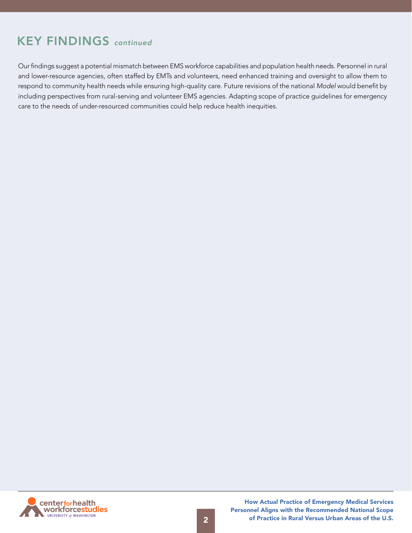# KEY FINDINGS *continued*

Our findings suggest a potential mismatch between EMS workforce capabilities and population health needs. Personnel in rural and lower-resource agencies, often staffed by EMTs and volunteers, need enhanced training and oversight to allow them to respond to community health needs while ensuring high-quality care. Future revisions of the national *Model* would benefit by including perspectives from rural-serving and volunteer EMS agencies. Adapting scope of practice guidelines for emergency care to the needs of under-resourced communities could help reduce health inequities.

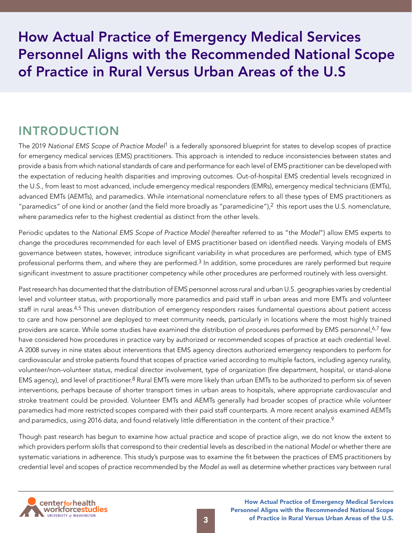<span id="page-2-0"></span>How Actual Practice of Emergency Medical Services Personnel Aligns with the Recommended National Scope of Practice in Rural Versus Urban Areas of the U.S

### INTRODUCTION

The 2019 *National EMS Scope of Practice Model*1 is a federally sponsored blueprint for states to develop scopes of practice for emergency medical services (EMS) practitioners. This approach is intended to reduce inconsistencies between states and provide a basis from which national standards of care and performance for each level of EMS practitioner can be developed with the expectation of reducing health disparities and improving outcomes. Out-of-hospital EMS credential levels recognized in the U.S., from least to most advanced, include emergency medical responders (EMRs), emergency medical technicians (EMTs), advanced EMTs (AEMTs), and paramedics. While international nomenclature refers to all these types of EMS practitioners as "paramedics" of one kind or another (and the field more broadly as "paramedicine"), $2$  this report uses the U.S. nomenclature, where paramedics refer to the highest credential as distinct from the other levels.

Periodic updates to the *National EMS Scope of Practice Model* (hereafter referred to as "the *Model*") allow EMS experts to change the procedures recommended for each level of EMS practitioner based on identified needs. Varying models of EMS governance between states, however, introduce significant variability in what procedures are performed, which type of EMS professional performs them, and where they are performed.<sup>3</sup> In addition, some procedures are rarely performed but require significant investment to assure practitioner competency while other procedures are performed routinely with less oversight.

Past research has documented that the distribution of EMS personnel across rural and urban U.S. geographies varies by credential level and volunteer status, with proportionally more paramedics and paid staff in urban areas and more EMTs and volunteer staff in rural areas.4,5 This uneven distribution of emergency responders raises fundamental questions about patient access to care and how personnel are deployed to meet community needs, particularly in locations where the most highly trained providers are scarce. While some studies have examined the distribution of procedures performed by EMS personnel,<sup>6,7</sup> few have considered how procedures in practice vary by authorized or recommended scopes of practice at each credential level. A 2008 survey in nine states about interventions that EMS agency directors authorized emergency responders to perform for cardiovascular and stroke patients found that scopes of practice varied according to multiple factors, including agency rurality, volunteer/non-volunteer status, medical director involvement, type of organization (fire department, hospital, or stand-alone EMS agency), and level of practitioner.<sup>8</sup> Rural EMTs were more likely than urban EMTs to be authorized to perform six of seven interventions, perhaps because of shorter transport times in urban areas to hospitals, where appropriate cardiovascular and stroke treatment could be provided. Volunteer EMTs and AEMTs generally had broader scopes of practice while volunteer paramedics had more restricted scopes compared with their paid staff counterparts. A more recent analysis examined AEMTs and paramedics, using 2016 data, and found relatively little differentiation in the content of their practice.<sup>9</sup>

Though past research has begun to examine how actual practice and scope of practice align, we do not know the extent to which providers perform skills that correspond to their credential levels as described in the national *Model* or whether there are systematic variations in adherence. This study's purpose was to examine the fit between the practices of EMS practitioners by credential level and scopes of practice recommended by the *Model* as well as determine whether practices vary between rural

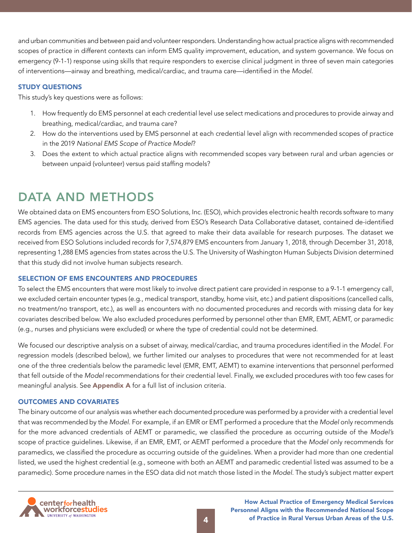<span id="page-3-0"></span>and urban communities and between paid and volunteer responders. Understanding how actual practice aligns with recommended scopes of practice in different contexts can inform EMS quality improvement, education, and system governance. We focus on emergency (9-1-1) response using skills that require responders to exercise clinical judgment in three of seven main categories of interventions—airway and breathing, medical/cardiac, and trauma care—identified in the *Model*.

### STUDY QUESTIONS

This study's key questions were as follows:

- 1. How frequently do EMS personnel at each credential level use select medications and procedures to provide airway and breathing, medical/cardiac, and trauma care?
- 2. How do the interventions used by EMS personnel at each credential level align with recommended scopes of practice in the 2019 *National EMS Scope of Practice Model*?
- 3. Does the extent to which actual practice aligns with recommended scopes vary between rural and urban agencies or between unpaid (volunteer) versus paid staffing models?

# DATA AND METHODS

We obtained data on EMS encounters from ESO Solutions, Inc. (ESO), which provides electronic health records software to many EMS agencies. The data used for this study, derived from ESO's Research Data Collaborative dataset, contained de-identified records from EMS agencies across the U.S. that agreed to make their data available for research purposes. The dataset we received from ESO Solutions included records for 7,574,879 EMS encounters from January 1, 2018, through December 31, 2018, representing 1,288 EMS agencies from states across the U.S. The University of Washington Human Subjects Division determined that this study did not involve human subjects research.

### SELECTION OF EMS ENCOUNTERS AND PROCEDURES

To select the EMS encounters that were most likely to involve direct patient care provided in response to a 9-1-1 emergency call, we excluded certain encounter types (e.g., medical transport, standby, home visit, etc.) and patient dispositions (cancelled calls, no treatment/no transport, etc.), as well as encounters with no documented procedures and records with missing data for key covariates described below. We also excluded procedures performed by personnel other than EMR, EMT, AEMT, or paramedic (e.g., nurses and physicians were excluded) or where the type of credential could not be determined.

We focused our descriptive analysis on a subset of airway, medical/cardiac, and trauma procedures identified in the *Model*. For regression models (described below), we further limited our analyses to procedures that were not recommended for at least one of the three credentials below the paramedic level (EMR, EMT, AEMT) to examine interventions that personnel performed that fell outside of the *Model* recommendations for their credential level. Finally, we excluded procedures with too few cases for meaningful analysis. See **Appendix A** for a full list of inclusion criteria.

### OUTCOMES AND COVARIATES

The binary outcome of our analysis was whether each documented procedure was performed by a provider with a credential level that was recommended by the *Model*. For example, if an EMR or EMT performed a procedure that the *Model* only recommends for the more advanced credentials of AEMT or paramedic, we classified the procedure as occurring outside of the *Model's* scope of practice guidelines. Likewise, if an EMR, EMT, or AEMT performed a procedure that the *Model* only recommends for paramedics, we classified the procedure as occurring outside of the guidelines. When a provider had more than one credential listed, we used the highest credential (e.g., someone with both an AEMT and paramedic credential listed was assumed to be a paramedic). Some procedure names in the ESO data did not match those listed in the *Model*. The study's subject matter expert

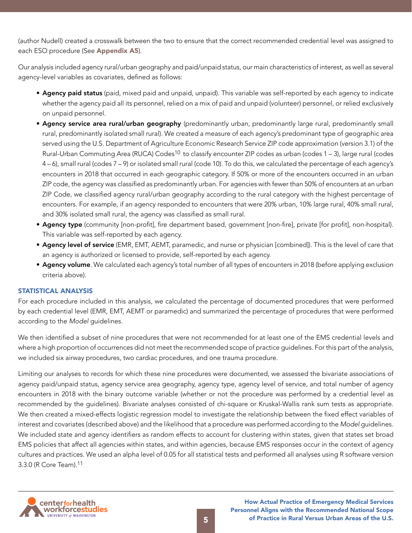(author Nudell) created a crosswalk between the two to ensure that the correct recommended credential level was assigned to each ESO procedure (See Appendix A5).

Our analysis included agency rural/urban geography and paid/unpaid status, our main characteristics of interest, as well as several agency-level variables as covariates, defined as follows:

- Agency paid status (paid, mixed paid and unpaid, unpaid). This variable was self-reported by each agency to indicate whether the agency paid all its personnel, relied on a mix of paid and unpaid (volunteer) personnel, or relied exclusively on unpaid personnel.
- Agency service area rural/urban geography (predominantly urban, predominantly large rural, predominantly small rural, predominantly isolated small rural). We created a measure of each agency's predominant type of geographic area served using the U.S. Department of Agriculture Economic Research Service ZIP code approximation (version 3.1) of the Rural-Urban Commuting Area (RUCA) Codes<sup>10</sup> to classify encounter ZIP codes as urban (codes 1 – 3), large rural (codes 4 – 6), small rural (codes 7 – 9) or isolated small rural (code 10). To do this, we calculated the percentage of each agency's encounters in 2018 that occurred in each geographic category. If 50% or more of the encounters occurred in an urban ZIP code, the agency was classified as predominantly urban. For agencies with fewer than 50% of encounters at an urban ZIP Code, we classified agency rural/urban geography according to the rural category with the highest percentage of encounters. For example, if an agency responded to encounters that were 20% urban, 10% large rural, 40% small rural, and 30% isolated small rural, the agency was classified as small rural.
- Agency type (community [non-profit], fire department based, government [non-fire], private [for profit], non-hospital). This variable was self-reported by each agency.
- Agency level of service (EMR, EMT, AEMT, paramedic, and nurse or physician [combined]). This is the level of care that an agency is authorized or licensed to provide, self-reported by each agency.
- Agency volume. We calculated each agency's total number of all types of encounters in 2018 (before applying exclusion criteria above).

### STATISTICAL ANALYSIS

For each procedure included in this analysis, we calculated the percentage of documented procedures that were performed by each credential level (EMR, EMT, AEMT or paramedic) and summarized the percentage of procedures that were performed according to the *Model* guidelines.

We then identified a subset of nine procedures that were not recommended for at least one of the EMS credential levels and where a high proportion of occurrences did not meet the recommended scope of practice guidelines. For this part of the analysis, we included six airway procedures, two cardiac procedures, and one trauma procedure.

Limiting our analyses to records for which these nine procedures were documented, we assessed the bivariate associations of agency paid/unpaid status, agency service area geography, agency type, agency level of service, and total number of agency encounters in 2018 with the binary outcome variable (whether or not the procedure was performed by a credential level as recommended by the guidelines). Bivariate analyses consisted of chi-square or Kruskal-Wallis rank sum tests as appropriate. We then created a mixed-effects logistic regression model to investigate the relationship between the fixed effect variables of interest and covariates (described above) and the likelihood that a procedure was performed according to the *Model* guidelines. We included state and agency identifiers as random effects to account for clustering within states, given that states set broad EMS policies that affect all agencies within states, and within agencies, because EMS responses occur in the context of agency cultures and practices. We used an alpha level of 0.05 for all statistical tests and performed all analyses using R software version 3.3.0 (R Core Team).11

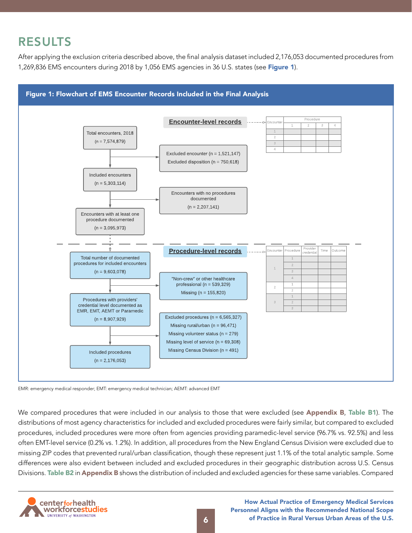# <span id="page-5-0"></span>RESULTS

After applying the exclusion criteria described above, the final analysis dataset included 2,176,053 documented procedures from 1,269,836 EMS encounters during 2018 by 1,056 EMS agencies in 36 U.S. states (see Figure 1).



EMR: emergency medical responder; EMT: emergency medical technician; AEMT: advanced EMT

We compared procedures that were included in our analysis to those that were excluded (see Appendix B, Table B1). The distributions of most agency characteristics for included and excluded procedures were fairly similar, but compared to excluded procedures, included procedures were more often from agencies providing paramedic-level service (96.7% vs. 92.5%) and less often EMT-level service (0.2% vs. 1.2%). In addition, all procedures from the New England Census Division were excluded due to missing ZIP codes that prevented rural/urban classification, though these represent just 1.1% of the total analytic sample. Some differences were also evident between included and excluded procedures in their geographic distribution across U.S. Census Divisions. Table B2 in Appendix B shows the distribution of included and excluded agencies for these same variables. Compared

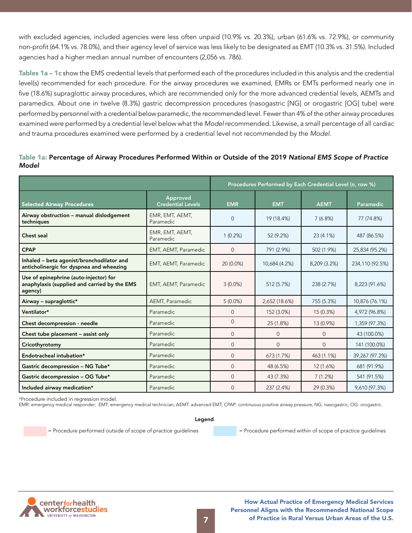with excluded agencies, included agencies were less often unpaid (10.9% vs. 20.3%), urban (61.6% vs. 72.9%), or community non-profit (64.1% vs. 78.0%), and their agency level of service was less likely to be designated as EMT (10.3% vs. 31.5%). Included agencies had a higher median annual number of encounters (2,056 vs. 786).

Tables 1a – 1c show the EMS credential levels that performed each of the procedures included in this analysis and the credential level(s) recommended for each procedure. For the airway procedures we examined, EMRs or EMTs performed nearly one in five (18.6%) supraglottic airway procedures, which are recommended only for the more advanced credential levels, AEMTs and paramedics. About one in twelve (8.3%) gastric decompression procedures (nasogastric [NG] or orogastric [OG] tube) were performed by personnel with a credential below paramedic, the recommended level. Fewer than 4% of the other airway procedures examined were performed by a credential level below what the *Model* recommended. Likewise, a small percentage of all cardiac and trauma procedures examined were performed by a credential level not recommended by the *Model*.

### Table 1a: Percentage of Airway Procedures Performed Within or Outside of the 2019 *National EMS Scope of Practice Model*

|                                                                                                   |                                      | Procedures Performed by Each Credential Level (n, row %) |               |              |                 |
|---------------------------------------------------------------------------------------------------|--------------------------------------|----------------------------------------------------------|---------------|--------------|-----------------|
| <b>Selected Airway Procedures</b>                                                                 | Approved<br><b>Credential Levels</b> | <b>EMR</b>                                               | <b>EMT</b>    | <b>AEMT</b>  | Paramedic       |
| Airway obstruction - manual dislodgement<br>techniques                                            | EMR, EMT, AEMT,<br>Paramedic         | $\Omega$                                                 | 19 (18.4%)    | 7(6.8%)      | 77 (74.8%)      |
| Chest seal                                                                                        | EMR, EMT, AEMT,<br>Paramedic         | 1(0.2%)                                                  | 52 (9.2%)     | 23 (4.1%)    | 487 (86.5%)     |
| <b>CPAP</b>                                                                                       | EMT, AEMT, Paramedic                 | $\mathbf{0}$                                             | 791 (2.9%)    | 502 (1.9%)   | 25,834 (95.2%)  |
| Inhaled - beta agonist/bronchodilator and<br>anticholinergic for dyspnea and wheezing             | EMT, AEMT, Paramedic                 | 20 (0.0%)                                                | 10,684 (4.2%) | 8,209 (3.2%) | 234,110 (92.5%) |
| Use of epinephrine (auto-injector) for<br>anaphylaxis (supplied and carried by the EMS<br>agency) | EMT, AEMT, Paramedic                 | $3(0.0\%)$                                               | 512 (5.7%)    | 238 (2.7%)   | 8,223 (91.6%)   |
| Airway - supraglottic*                                                                            | AEMT, Paramedic                      | $5(0.0\%)$                                               | 2,652 (18.6%) | 755 (5.3%)   | 10,876 (76.1%)  |
| Ventilator*                                                                                       | Paramedic                            | $\Omega$                                                 | 152 (3.0%)    | 15 (0.3%)    | 4,972 (96.8%)   |
| Chest decompression - needle                                                                      | Paramedic                            | $\Omega$                                                 | 25 (1.8%)     | 13 (0.9%)    | 1,359 (97.3%)   |
| Chest tube placement - assist only                                                                | Paramedic                            | $\Omega$                                                 | $\Omega$      | $\Omega$     | 43 (100.0%)     |
| Cricothyrotomy                                                                                    | Paramedic                            | $\mathbf{0}$                                             | $\Omega$      | $\Omega$     | 141 (100.0%)    |
| Endotracheal intubation*                                                                          | Paramedic                            | $\mathbf{0}$                                             | 673 (1.7%)    | 463 (1.1%)   | 39,267 (97.2%)  |
| Gastric decompression - NG Tube*                                                                  | Paramedic                            | $\Omega$                                                 | 48 (6.5%)     | 12 (1.6%)    | 681 (91.9%)     |
| Gastric decompression - OG Tube*                                                                  | Paramedic                            | $\Omega$                                                 | 43 (7.3%)     | 7(1.2%)      | 541 (91.5%)     |
| Included airway medication*                                                                       | Paramedic                            | $\Omega$                                                 | 237 (2.4%)    | 29 (0.3%)    | 9,610 (97.3%)   |

\*Procedure included in regression model.

EMR: emergency medical responder; EMT: emergency medical technician; AEMT: advanced EMT; CPAP: continuous positive airway pressure; NG: nasogastric; OG: orogastric.

#### Legend

= Procedure performed outside of scope of practice guidelines = Procedure performed within of scope of practice guidelines

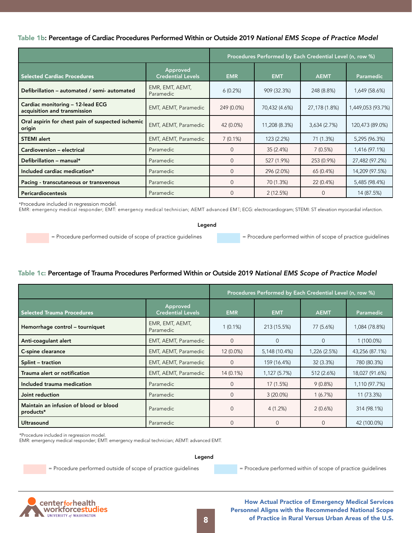#### Table 1b: Percentage of Cardiac Procedures Performed Within or Outside 2019 *National EMS Scope of Practice Model*

|                                                                  |                                      | Procedures Performed by Each Credential Level (n, row %) |               |               |                   |
|------------------------------------------------------------------|--------------------------------------|----------------------------------------------------------|---------------|---------------|-------------------|
| <b>Selected Cardiac Procedures</b>                               | Approved<br><b>Credential Levels</b> | <b>EMR</b>                                               | <b>EMT</b>    | <b>AEMT</b>   | Paramedic         |
| Defibrillation - automated / semi- automated                     | EMR, EMT, AEMT,<br>Paramedic         | $6(0.2\%)$                                               | 909 (32.3%)   | 248 (8.8%)    | 1,649 (58.6%)     |
| Cardiac monitoring - 12-lead ECG<br>acquisition and transmission | EMT, AEMT, Paramedic                 | 249 (0.0%)                                               | 70,432 (4.6%) | 27,178 (1.8%) | 1,449,053 (93.7%) |
| Oral aspirin for chest pain of suspected ischemic<br>origin      | EMT, AEMT, Paramedic                 | 42 (0.0%)                                                | 11,208 (8.3%) | 3,634 (2.7%)  | 120,473 (89.0%)   |
| <b>STEMI</b> alert                                               | EMT, AEMT, Paramedic                 | $7(0.1\%)$                                               | 123 (2.2%)    | 71 (1.3%)     | 5,295 (96.3%)     |
| Cardioversion - electrical                                       | Paramedic                            | $\Omega$                                                 | 35 (2.4%)     | 7(0.5%)       | 1,416 (97.1%)     |
| Defibrillation - manual*                                         | Paramedic                            | $\Omega$                                                 | 527 (1.9%)    | 253 (0.9%)    | 27,482 (97.2%)    |
| Included cardiac medication*                                     | Paramedic                            | 0                                                        | 296 (2.0%)    | 65 (0.4%)     | 14,209 (97.5%)    |
| Pacing - transcutaneous or transvenous                           | Paramedic                            | $\Omega$                                                 | 70 (1.3%)     | 22 (0.4%)     | 5,485 (98.4%)     |
| Pericardiocentesis                                               | Paramedic                            | 0                                                        | 2(12.5%)      |               | 14 (87.5%)        |

\*Procedure included in regression model.

EMR: emergency medical responder; EMT: emergency medical technician; AEMT advanced EMT; ECG: electrocardiogram; STEMI: ST elevation myocardial infarction.

Legend

= Procedure performed outside of scope of practice guidelines = Procedure performed within of scope of practice guidelines

### Table 1c: Percentage of Trauma Procedures Performed Within or Outside 2019 *National EMS Scope of Practice Model*

|                                                                           |                              | Procedures Performed by Each Credential Level (n, row %) |               |              |                |
|---------------------------------------------------------------------------|------------------------------|----------------------------------------------------------|---------------|--------------|----------------|
| Approved<br><b>Credential Levels</b><br><b>Selected Trauma Procedures</b> |                              | <b>EMR</b>                                               | <b>EMT</b>    | <b>AEMT</b>  | Paramedic      |
| Hemorrhage control - tourniquet                                           | EMR, EMT, AEMT,<br>Paramedic | $1(0.1\%)$                                               | 213 (15.5%)   | 77 (5.6%)    | 1,084 (78.8%)  |
| Anti-coagulant alert                                                      | EMT, AEMT, Paramedic         | $\Omega$                                                 | $\Omega$      | $\Omega$     | 1 (100.0%)     |
| C-spine clearance                                                         | EMT, AEMT, Paramedic         | 12 (0.0%)                                                | 5,148 (10.4%) | 1,226 (2.5%) | 43,256 (87.1%) |
| Splint - traction                                                         | EMT, AEMT, Paramedic         | $\mathbf{0}$                                             | 159 (16.4%)   | 32(3.3%)     | 780 (80.3%)    |
| Trauma alert or notification                                              | EMT, AEMT, Paramedic         | 14 (0.1%)                                                | 1,127 (5.7%)  | 512 (2.6%)   | 18,027 (91.6%) |
| Included trauma medication                                                | Paramedic                    | $\mathbf{0}$                                             | 17 (1.5%)     | 9(0.8%)      | 1,110 (97.7%)  |
| Joint reduction                                                           | Paramedic                    | $\mathbf{0}$                                             | $3(20.0\%)$   | 1(6.7%)      | 11 (73.3%)     |
| Maintain an infusion of blood or blood<br>products*                       | Paramedic                    | $\overline{0}$                                           | 4(1.2%)       | 2(0.6%)      | 314 (98.1%)    |
| Ultrasound                                                                | Paramedic                    | $\Omega$                                                 | $\Omega$      | 0            | 42 (100.0%)    |

\*Procedure included in regression model.

EMR: emergency medical responder; EMT: emergency medical technician; AEMT: advanced EMT.

Legend

= Procedure performed outside of scope of practice guidelines = Procedure performed within of scope of practice guidelines

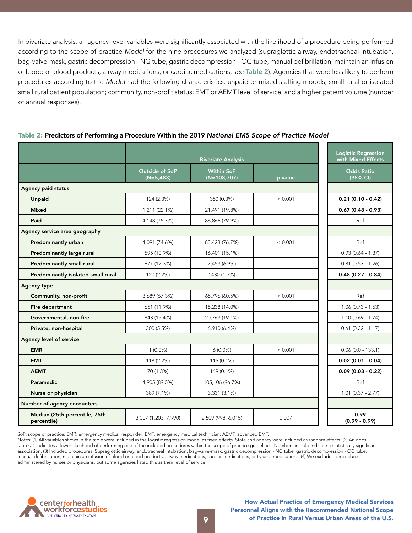In bivariate analysis, all agency-level variables were significantly associated with the likelihood of a procedure being performed according to the scope of practice *Model* for the nine procedures we analyzed (supraglottic airway, endotracheal intubation, bag-valve-mask, gastric decompression - NG tube, gastric decompression - OG tube, manual defibrillation, maintain an infusion of blood or blood products, airway medications, or cardiac medications; see Table 2). Agencies that were less likely to perform procedures according to the *Model* had the following characteristics: unpaid or mixed staffing models; small rural or isolated small rural patient population; community, non-profit status; EMT or AEMT level of service; and a higher patient volume (number of annual responses).

| Table 2: Predictors of Performing a Procedure Within the 2019 National EMS Scope of Practice Model |  |  |  |
|----------------------------------------------------------------------------------------------------|--|--|--|
|----------------------------------------------------------------------------------------------------|--|--|--|

|                                              |                                | <b>Logistic Regression</b><br>with Mixed Effects |         |                               |
|----------------------------------------------|--------------------------------|--------------------------------------------------|---------|-------------------------------|
|                                              | Outside of SoP<br>$(N=5, 483)$ | <b>Within SoP</b><br>$(N=108,707)$               | p-value | <b>Odds Ratio</b><br>(95% CI) |
| Agency paid status                           |                                |                                                  |         |                               |
| Unpaid                                       | 124 (2.3%)                     | 350 (0.3%)                                       | < 0.001 | $0.21(0.10 - 0.42)$           |
| <b>Mixed</b>                                 | 1,211 (22.1%)                  | 21,491 (19.8%)                                   |         | $0.67(0.48 - 0.93)$           |
| Paid                                         | 4,148 (75.7%)                  | 86,866 (79.9%)                                   |         | Ref                           |
| Agency service area geography                |                                |                                                  |         |                               |
| Predominantly urban                          | 4,091 (74.6%)                  | 83,423 (76.7%)                                   | < 0.001 | Ref                           |
| Predominantly large rural                    | 595 (10.9%)                    | 16,401 (15.1%)                                   |         | $0.93(0.64 - 1.37)$           |
| Predominantly small rural                    | 677 (12.3%)                    | 7,453 (6.9%)                                     |         | $0.81$ (0.53 - 1.26)          |
| Predominantly isolated small rural           | 120 (2.2%)                     | 1430 (1.3%)                                      |         | $0.48(0.27 - 0.84)$           |
| <b>Agency type</b>                           |                                |                                                  |         |                               |
| Community, non-profit                        | 3,689 (67.3%)                  | 65,796 (60.5%)                                   | < 0.001 | Ref                           |
| Fire department                              | 651 (11.9%)                    | 15,238 (14.0%)                                   |         | $1.06(0.73 - 1.53)$           |
| Governmental, non-fire                       | 843 (15.4%)                    | 20,763 (19.1%)                                   |         | $1.10(0.69 - 1.74)$           |
| Private, non-hospital                        | 300 (5.5%)                     | 6,910 (6.4%)                                     |         | $0.61$ (0.32 - 1.17)          |
| Agency level of service                      |                                |                                                  |         |                               |
| <b>EMR</b>                                   | $1(0.0\%)$                     | $6(0.0\%)$                                       | < 0.001 | $0.06(0.0 - 133.1)$           |
| <b>EMT</b>                                   | 118 (2.2%)                     | 115 (0.1%)                                       |         | $0.02$ (0.01 - 0.04)          |
| <b>AEMT</b>                                  | 70 (1.3%)                      | 149 (0.1%)                                       |         | $0.09(0.03 - 0.22)$           |
| Paramedic                                    | 4,905 (89.5%)                  | 105,106 (96.7%)                                  |         | Ref                           |
| Nurse or physician                           | 389 (7.1%)                     | 3,331 (3.1%)                                     |         | $1.01$ (0.37 - 2.77)          |
| Number of agency encounters                  |                                |                                                  |         |                               |
| Median (25th percentile, 75th<br>percentile) | 3,007 (1,203, 7,990)           | 2,509 (998, 6,015)                               | 0.007   | 0.99<br>$(0.99 - 0.99)$       |

SoP: scope of practice; EMR: emergency medical responder; EMT: emergency medical technician; AEMT: advanced EMT.

Notes: (1) All variables shown in the table were included in the logistic regression model as fixed effects. State and agency were included as random effects. (2) An odds ratio < 1 indicates a lower likelihood of performing one of the included procedures within the scope of practice guidelines. Numbers in bold indicate a statistically significant association. (3) Included procedures: Supraglottic airway, endotracheal intubation, bag-valve-mask, gastric decompression - NG tube, gastric decompression - OG tube, manual defibrillation, maintain an infusion of blood or blood products, airway medications, cardiac medications, or trauma medications. (4) We excluded procedures administered by nurses or physicians, but some agencies listed this as their level of service.

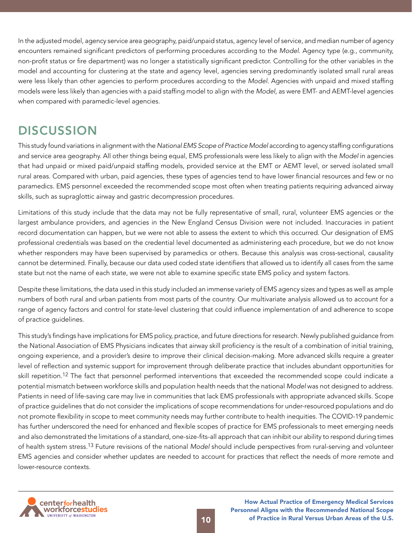<span id="page-9-0"></span>In the adjusted model, agency service area geography, paid/unpaid status, agency level of service, and median number of agency encounters remained significant predictors of performing procedures according to the *Model*. Agency type (e.g., community, non-profit status or fire department) was no longer a statistically significant predictor. Controlling for the other variables in the model and accounting for clustering at the state and agency level, agencies serving predominantly isolated small rural areas were less likely than other agencies to perform procedures according to the *Model*. Agencies with unpaid and mixed staffing models were less likely than agencies with a paid staffing model to align with the *Model*, as were EMT- and AEMT-level agencies when compared with paramedic-level agencies.

## **DISCUSSION**

This study found variations in alignment with the *National EMS Scope of Practice Model* according to agency staffing configurations and service area geography. All other things being equal, EMS professionals were less likely to align with the *Model* in agencies that had unpaid or mixed paid/unpaid staffing models, provided service at the EMT or AEMT level, or served isolated small rural areas. Compared with urban, paid agencies, these types of agencies tend to have lower financial resources and few or no paramedics. EMS personnel exceeded the recommended scope most often when treating patients requiring advanced airway skills, such as supraglottic airway and gastric decompression procedures.

Limitations of this study include that the data may not be fully representative of small, rural, volunteer EMS agencies or the largest ambulance providers, and agencies in the New England Census Division were not included. Inaccuracies in patient record documentation can happen, but we were not able to assess the extent to which this occurred. Our designation of EMS professional credentials was based on the credential level documented as administering each procedure, but we do not know whether responders may have been supervised by paramedics or others. Because this analysis was cross-sectional, causality cannot be determined. Finally, because our data used coded state identifiers that allowed us to identify all cases from the same state but not the name of each state, we were not able to examine specific state EMS policy and system factors.

Despite these limitations, the data used in this study included an immense variety of EMS agency sizes and types as well as ample numbers of both rural and urban patients from most parts of the country. Our multivariate analysis allowed us to account for a range of agency factors and control for state-level clustering that could influence implementation of and adherence to scope of practice guidelines.

This study's findings have implications for EMS policy, practice, and future directions for research. Newly published guidance from the National Association of EMS Physicians indicates that airway skill proficiency is the result of a combination of initial training, ongoing experience, and a provider's desire to improve their clinical decision-making. More advanced skills require a greater level of reflection and systemic support for improvement through deliberate practice that includes abundant opportunities for skill repetition.12 The fact that personnel performed interventions that exceeded the recommended scope could indicate a potential mismatch between workforce skills and population health needs that the national *Model* was not designed to address. Patients in need of life-saving care may live in communities that lack EMS professionals with appropriate advanced skills. Scope of practice guidelines that do not consider the implications of scope recommendations for under-resourced populations and do not promote flexibility in scope to meet community needs may further contribute to health inequities. The COVID-19 pandemic has further underscored the need for enhanced and flexible scopes of practice for EMS professionals to meet emerging needs and also demonstrated the limitations of a standard, one-size-fits-all approach that can inhibit our ability to respond during times of health system stress.13 Future revisions of the national *Model* should include perspectives from rural-serving and volunteer EMS agencies and consider whether updates are needed to account for practices that reflect the needs of more remote and lower-resource contexts.

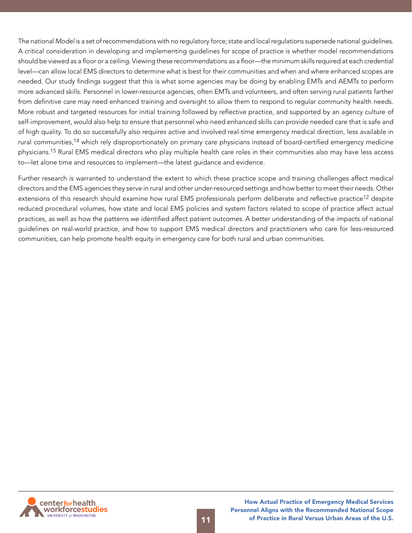The national *Model* is a set of recommendations with no regulatory force; state and local regulations supersede national guidelines. A critical consideration in developing and implementing guidelines for scope of practice is whether model recommendations should be viewed as a floor or a ceiling. Viewing these recommendations as a floor—the minimum skills required at each credential level—can allow local EMS directors to determine what is best for their communities and when and where enhanced scopes are needed. Our study findings suggest that this is what some agencies may be doing by enabling EMTs and AEMTs to perform more advanced skills. Personnel in lower-resource agencies, often EMTs and volunteers, and often serving rural patients farther from definitive care may need enhanced training and oversight to allow them to respond to regular community health needs. More robust and targeted resources for initial training followed by reflective practice, and supported by an agency culture of self-improvement, would also help to ensure that personnel who need enhanced skills can provide needed care that is safe and of high quality. To do so successfully also requires active and involved real-time emergency medical direction, less available in rural communities,<sup>14</sup> which rely disproportionately on primary care physicians instead of board-certified emergency medicine physicians.15 Rural EMS medical directors who play multiple health care roles in their communities also may have less access to—let alone time and resources to implement—the latest guidance and evidence.

Further research is warranted to understand the extent to which these practice scope and training challenges affect medical directors and the EMS agencies they serve in rural and other under-resourced settings and how better to meet their needs. Other extensions of this research should examine how rural EMS professionals perform deliberate and reflective practice<sup>12</sup> despite reduced procedural volumes, how state and local EMS policies and system factors related to scope of practice affect actual practices, as well as how the patterns we identified affect patient outcomes. A better understanding of the impacts of national guidelines on real-world practice, and how to support EMS medical directors and practitioners who care for less-resourced communities, can help promote health equity in emergency care for both rural and urban communities.

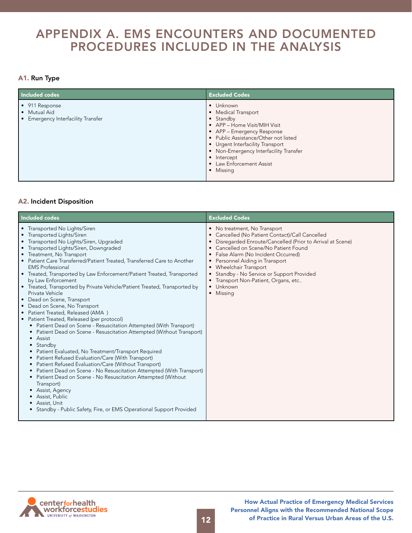### <span id="page-11-0"></span>APPENDIX A. EMS ENCOUNTERS AND DOCUMENTED PROCEDURES INCLUDED IN THE ANALYSIS

### A1. Run Type

| Included codes                                                            | <b>Excluded Codes</b>                                                                                                                                                                                                                                                                     |
|---------------------------------------------------------------------------|-------------------------------------------------------------------------------------------------------------------------------------------------------------------------------------------------------------------------------------------------------------------------------------------|
| • 911 Response<br>• Mutual Aid<br><b>Emergency Interfacility Transfer</b> | • Unknown<br>• Medical Transport<br>• Standby<br>• APP - Home Visit/MIH Visit<br>• APP – Emergency Response<br>• Public Assistance/Other not listed<br>• Urgent Interfacility Transport<br>• Non-Emergency Interfacility Transfer<br>• Intercept<br>• Law Enforcement Assist<br>• Missing |

### A2. Incident Disposition

| Included codes                                                                                                                                                                                                                                                                                                                                                                                                                                                                                                                                                                                                                                                                                                                                                                                                                                                                                                                                                                                                                                                                                                                                                                                                                                                              | <b>Excluded Codes</b>                                                                                                                                                                                                                                                                                                                                                                                             |
|-----------------------------------------------------------------------------------------------------------------------------------------------------------------------------------------------------------------------------------------------------------------------------------------------------------------------------------------------------------------------------------------------------------------------------------------------------------------------------------------------------------------------------------------------------------------------------------------------------------------------------------------------------------------------------------------------------------------------------------------------------------------------------------------------------------------------------------------------------------------------------------------------------------------------------------------------------------------------------------------------------------------------------------------------------------------------------------------------------------------------------------------------------------------------------------------------------------------------------------------------------------------------------|-------------------------------------------------------------------------------------------------------------------------------------------------------------------------------------------------------------------------------------------------------------------------------------------------------------------------------------------------------------------------------------------------------------------|
| • Transported No Lights/Siren<br>• Transported Lights/Siren<br>• Transported No Lights/Siren, Upgraded<br>• Transported Lights/Siren, Downgraded<br>• Treatment, No Transport<br>• Patient Care Transferred/Patient Treated, Transferred Care to Another<br><b>EMS</b> Professional<br>• Treated, Transported by Law Enforcement/Patient Treated, Transported<br>by Law Enforcement<br>• Treated, Transported by Private Vehicle/Patient Treated, Transported by<br>Private Vehicle<br>• Dead on Scene, Transport<br>Dead on Scene, No Transport<br>$\bullet$<br>• Patient Treated, Released (AMA)<br>• Patient Treated, Released (per protocol)<br>• Patient Dead on Scene - Resuscitation Attempted (With Transport)<br>• Patient Dead on Scene - Resuscitation Attempted (Without Transport)<br>• Assist<br>• Standby<br>Patient Evaluated, No Treatment/Transport Required<br>Patient Refused Evaluation/Care (With Transport)<br>Patient Refused Evaluation/Care (Without Transport)<br>Patient Dead on Scene - No Resuscitation Attempted (With Transport)<br>• Patient Dead on Scene - No Resuscitation Attempted (Without<br>Transport)<br>Assist, Agency<br>Assist, Public<br>Assist, Unit<br>• Standby - Public Safety, Fire, or EMS Operational Support Provided | • No treatment, No Transport<br>• Cancelled (No Patient Contact)/Call Cancelled<br>Disregarded Enroute/Cancelled (Prior to Arrival at Scene)<br>Cancelled on Scene/No Patient Found<br>False Alarm (No Incident Occurred)<br>• Personnel Aiding in Transport<br>• Wheelchair Transport<br>Standby - No Service or Support Provided<br>$\bullet$<br>• Transport Non-Patient, Organs, etc<br>• Unknown<br>• Missing |

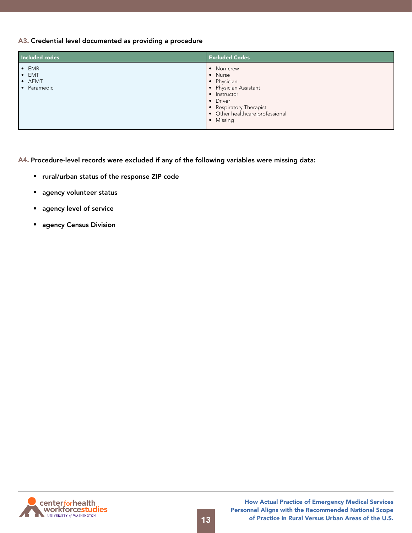### A3. Credential level documented as providing a procedure

| Included codes                                          | <b>Excluded Codes</b>                                                                                                                                                |
|---------------------------------------------------------|----------------------------------------------------------------------------------------------------------------------------------------------------------------------|
| $\bullet$ EMR<br>$\bullet$ EMT<br>• AEMT<br>• Paramedic | • Non-crew<br>• Nurse<br>• Physician<br>• Physician Assistant<br>• Instructor<br>• Driver<br>• Respiratory Therapist<br>• Other healthcare professional<br>· Missing |

A4. Procedure-level records were excluded if any of the following variables were missing data:

- rural/urban status of the response ZIP code
- agency volunteer status
- agency level of service
- agency Census Division

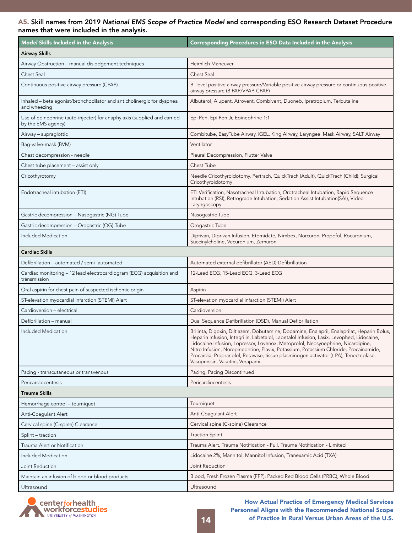#### A5. Skill names from 2019 National EMS Scope of Practice Model and corresponding ESO Research Dataset Procedure names that were included in the analysis.

| <b>Model Skills Included in the Analysis</b>                                                   | <b>Corresponding Procedures in ESO Data Included in the Analysis</b>                                                                                                                                                                                                                                                                                                                                                                                                                        |
|------------------------------------------------------------------------------------------------|---------------------------------------------------------------------------------------------------------------------------------------------------------------------------------------------------------------------------------------------------------------------------------------------------------------------------------------------------------------------------------------------------------------------------------------------------------------------------------------------|
| <b>Airway Skills</b>                                                                           |                                                                                                                                                                                                                                                                                                                                                                                                                                                                                             |
| Airway Obstruction - manual dislodgement techniques                                            | Heimlich Maneuver                                                                                                                                                                                                                                                                                                                                                                                                                                                                           |
| <b>Chest Seal</b>                                                                              | Chest Seal                                                                                                                                                                                                                                                                                                                                                                                                                                                                                  |
| Continuous positive airway pressure (CPAP)                                                     | Bi-level positive airway pressure/Variable positive airway pressure or continuous positive<br>airway pressure (BiPAP/VPAP, CPAP)                                                                                                                                                                                                                                                                                                                                                            |
| Inhaled - beta agonist/bronchodilator and anticholinergic for dyspnea<br>and wheezing          | Albuterol, Alupent, Atrovent, Combivent, Duoneb, Ipratropium, Terbutaline                                                                                                                                                                                                                                                                                                                                                                                                                   |
| Use of epinephrine (auto-injector) for anaphylaxis (supplied and carried<br>by the EMS agency) | Epi Pen, Epi Pen Jr, Epinephrine 1:1                                                                                                                                                                                                                                                                                                                                                                                                                                                        |
| Airway - supraglottic                                                                          | Combitube, EasyTube Airway, iGEL, King Airway, Laryngeal Mask Airway, SALT Airway                                                                                                                                                                                                                                                                                                                                                                                                           |
| Bag-valve-mask (BVM)                                                                           | Ventilator                                                                                                                                                                                                                                                                                                                                                                                                                                                                                  |
| Chest decompression - needle                                                                   | Pleural Decompression, Flutter Valve                                                                                                                                                                                                                                                                                                                                                                                                                                                        |
| Chest tube placement - assist only                                                             | Chest Tube                                                                                                                                                                                                                                                                                                                                                                                                                                                                                  |
| Cricothyrotomy                                                                                 | Needle Cricothyroidotomy, Pertrach, QuickTrach (Adult), QuickTrach (Child), Surgical<br>Cricothyroidotomy                                                                                                                                                                                                                                                                                                                                                                                   |
| Endotracheal intubation (ETI)                                                                  | ETI Verification, Nasotracheal Intubation, Orotracheal Intubation, Rapid Sequence<br>Intubation (RSI), Retrograde Intubation, Sedation Assist Intubation(SAI), Video<br>Laryngoscopy                                                                                                                                                                                                                                                                                                        |
| Gastric decompression - Nasogastric (NG) Tube                                                  | Nasogastric Tube                                                                                                                                                                                                                                                                                                                                                                                                                                                                            |
| Gastric decompression - Orogastric (OG) Tube                                                   | Orogastric Tube                                                                                                                                                                                                                                                                                                                                                                                                                                                                             |
| Included Medication                                                                            | Diprivan, Diprivan Infusion, Etomidate, Nimbex, Norcuron, Propofol, Rocuronium,<br>Succinylcholine, Vecuronium, Zemuron                                                                                                                                                                                                                                                                                                                                                                     |
| <b>Cardiac Skills</b>                                                                          |                                                                                                                                                                                                                                                                                                                                                                                                                                                                                             |
| Defibrillation - automated / semi- automated                                                   | Automated external defibrillator (AED) Defibrillation                                                                                                                                                                                                                                                                                                                                                                                                                                       |
| Cardiac monitoring - 12 lead electrocardiogram (ECG) acquisition and<br>transmission           | 12-Lead ECG, 15-Lead ECG, 3-Lead ECG                                                                                                                                                                                                                                                                                                                                                                                                                                                        |
| Oral aspirin for chest pain of suspected ischemic origin                                       | Aspirin                                                                                                                                                                                                                                                                                                                                                                                                                                                                                     |
| ST-elevation myocardial infarction (STEMI) Alert                                               | ST-elevation myocardial infarction (STEMI) Alert                                                                                                                                                                                                                                                                                                                                                                                                                                            |
| Cardioversion - electrical                                                                     | Cardioversion                                                                                                                                                                                                                                                                                                                                                                                                                                                                               |
| Defibrillation - manual                                                                        | Dual Sequence Defibrillation (DSD), Manual Defibrillation                                                                                                                                                                                                                                                                                                                                                                                                                                   |
| Included Medication                                                                            | Brilinta, Digoxin, Diltiazem, Dobutamine, Dopamine, Enalapril, Enalaprilat, Heparin Bolus,<br>Heparin Infusion, Integrilin, Labetalol, Labetalol Infusion, Lasix, Levophed, Lidocaine<br>Lidocaine Infusion, Lopressor, Lovenox, Metoprolol, Neosynephrine, Nicardipine,<br>Nitro Infusion, Norepinephrine, Plavix, Potassium, Potassium Chloride, Procainamide,<br>Procardia, Propranolol, Retavase, tissue plasminogen activator (t-PA), Tenecteplase,<br>Vasopressin, Vasotec, Verapamil |
| Pacing - transcutaneous or transvenous                                                         | Pacing, Pacing Discontinued                                                                                                                                                                                                                                                                                                                                                                                                                                                                 |
| Pericardiocentesis                                                                             | Pericardiocentesis                                                                                                                                                                                                                                                                                                                                                                                                                                                                          |
| Trauma Skills                                                                                  |                                                                                                                                                                                                                                                                                                                                                                                                                                                                                             |
| Hemorrhage control - tourniquet                                                                | Tourniquet                                                                                                                                                                                                                                                                                                                                                                                                                                                                                  |
| Anti-Coagulant Alert                                                                           | Anti-Coagulant Alert                                                                                                                                                                                                                                                                                                                                                                                                                                                                        |
| Cervical spine (C-spine) Clearance                                                             | Cervical spine (C-spine) Clearance                                                                                                                                                                                                                                                                                                                                                                                                                                                          |
| Splint – traction                                                                              | <b>Traction Splint</b>                                                                                                                                                                                                                                                                                                                                                                                                                                                                      |
| Trauma Alert or Notification                                                                   | Trauma Alert, Trauma Notification - Full, Trauma Notification - Limited                                                                                                                                                                                                                                                                                                                                                                                                                     |
| Included Medication                                                                            | Lidocaine 2%, Mannitol, Mannitol Infusion, Tranexamic Acid (TXA)                                                                                                                                                                                                                                                                                                                                                                                                                            |
| Joint Reduction                                                                                | Joint Reduction                                                                                                                                                                                                                                                                                                                                                                                                                                                                             |
| Maintain an infusion of blood or blood products                                                | Blood, Fresh Frozen Plasma (FFP), Packed Red Blood Cells (PRBC), Whole Blood                                                                                                                                                                                                                                                                                                                                                                                                                |
| Ultrasound                                                                                     | Ultrasound                                                                                                                                                                                                                                                                                                                                                                                                                                                                                  |

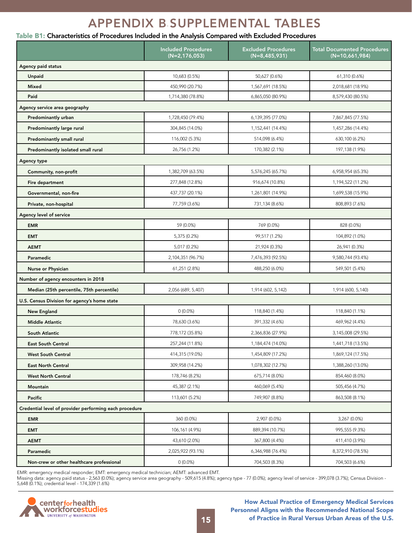## APPENDIX B. SUPPLEMENTAL TABLES

### <span id="page-14-0"></span>Table B1: Characteristics of Procedures Included in the Analysis Compared with Excluded Procedures

|                                                        | <b>Included Procedures</b><br>$(N=2, 176, 053)$ | <b>Excluded Procedures</b><br>$(N=8,485,931)$ | <b>Total Documented Procedures</b><br>$(N=10,661,984)$ |
|--------------------------------------------------------|-------------------------------------------------|-----------------------------------------------|--------------------------------------------------------|
| Agency paid status                                     |                                                 |                                               |                                                        |
| Unpaid                                                 | 10,683 (0.5%)                                   | 50,627 (0.6%)                                 | 61,310 (0.6%)                                          |
| <b>Mixed</b>                                           | 450,990 (20.7%)                                 | 1,567,691 (18.5%)                             | 2,018,681 (18.9%)                                      |
| Paid                                                   | 1,714,380 (78.8%)                               | 6,865,050 (80.9%)                             | 8,579,430 (80.5%)                                      |
| Agency service area geography                          |                                                 |                                               |                                                        |
| Predominantly urban                                    | 1,728,450 (79.4%)                               | 6,139,395 (77.0%)                             | 7,867,845 (77.5%)                                      |
| Predominantly large rural                              | 304,845 (14.0%)                                 | 1,152,441 (14.4%)                             | 1,457,286 (14.4%)                                      |
| Predominantly small rural                              | 116,002 (5.3%)                                  | 514,098 (6.4%)                                | 630,100 (6.2%)                                         |
| Predominantly isolated small rural                     | 26,756 (1.2%)                                   | 170,382 (2.1%)                                | 197, 138 (1.9%)                                        |
| Agency type                                            |                                                 |                                               |                                                        |
| Community, non-profit                                  | 1,382,709 (63.5%)                               | 5,576,245 (65.7%)                             | 6,958,954 (65.3%)                                      |
| Fire department                                        | 277,848 (12.8%)                                 | 916,674 (10.8%)                               | 1,194,522 (11.2%)                                      |
| Governmental, non-fire                                 | 437,737 (20.1%)                                 | 1,261,801 (14.9%)                             | 1,699,538 (15.9%)                                      |
| Private, non-hospital                                  | 77,759 (3.6%)                                   | 731,134 (8.6%)                                | 808,893 (7.6%)                                         |
| Agency level of service                                |                                                 |                                               |                                                        |
| <b>EMR</b>                                             | 59 (0.0%)                                       | 769 (0.0%)                                    | 828 (0.0%)                                             |
| <b>EMT</b>                                             | 5,375 (0.2%)                                    | 99,517 (1.2%)                                 | 104,892 (1.0%)                                         |
| <b>AEMT</b>                                            | 5,017 (0.2%)                                    | 21,924 (0.3%)                                 | 26,941 (0.3%)                                          |
| Paramedic                                              | 2,104,351 (96.7%)                               | 7,476,393 (92.5%)                             | 9,580,744 (93.4%)                                      |
| Nurse or Physician                                     | 61,251 (2.8%)                                   | 488,250 (6.0%)                                | 549,501 (5.4%)                                         |
| Number of agency encounters in 2018                    |                                                 |                                               |                                                        |
| Median (25th percentile, 75th percentile)              | 2,056 (689, 5,407)                              | 1,914 (602, 5,142)                            | 1,914 (600, 5,140)                                     |
| U.S. Census Division for agency's home state           |                                                 |                                               |                                                        |
| <b>New England</b>                                     | $0(0.0\%)$                                      | 118,840 (1.4%)                                | 118,840 (1.1%)                                         |
| <b>Middle Atlantic</b>                                 | 78,630 (3.6%)                                   | 391,332 (4.6%)                                | 469,962 (4.4%)                                         |
| South Atlantic                                         | 778,172 (35.8%)                                 | 2,366,836 (27.9%)                             | 3,145,008 (29.5%)                                      |
| <b>East South Central</b>                              | 257,244 (11.8%)                                 | 1,184,474 (14.0%)                             | 1,441,718 (13.5%)                                      |
| <b>West South Central</b>                              | 414,315 (19.0%)                                 | 1,454,809 (17.2%)                             | 1,869,124 (17.5%)                                      |
| <b>East North Central</b>                              | 309,958 (14.2%)                                 | 1,078,302 (12.7%)                             | 1,388,260 (13.0%)                                      |
| <b>West North Central</b>                              | 178,746 (8.2%)                                  | 675,714 (8.0%)                                | 854,460 (8.0%)                                         |
| Mountain                                               | 45,387 (2.1%)                                   | 460,069 (5.4%)                                | 505,456 (4.7%)                                         |
| Pacific                                                | 113,601 (5.2%)                                  | 749,907 (8.8%)                                | 863,508 (8.1%)                                         |
| Credential level of provider performing each procedure |                                                 |                                               |                                                        |
| <b>EMR</b>                                             | 360 (0.0%)                                      | 2,907 (0.0%)                                  | 3,267 (0.0%)                                           |
| <b>EMT</b>                                             | 106,161 (4.9%)                                  | 889,394 (10.7%)                               | 995,555 (9.3%)                                         |
| <b>AEMT</b>                                            | 43,610 (2.0%)                                   | 367,800 (4.4%)                                | 411,410 (3.9%)                                         |
| Paramedic                                              | 2,025,922 (93.1%)                               | 6,346,988 (76.4%)                             | 8,372,910 (78.5%)                                      |
| Non-crew or other healthcare professional              | $0(0.0\%)$                                      | 704,503 (8.3%)                                | 704,503 (6.6%)                                         |

EMR: emergency medical responder; EMT: emergency medical technician; AEMT: advanced EMT.

Missing data: agency paid status - 2,563 (0.0%); agency service area geography - 509,615 (4.8%); agency type - 77 (0.0%); agency level of service - 399,078 (3.7%); Census Division - 5,648 (0.1%); credential level - 174,339 (1.6%)

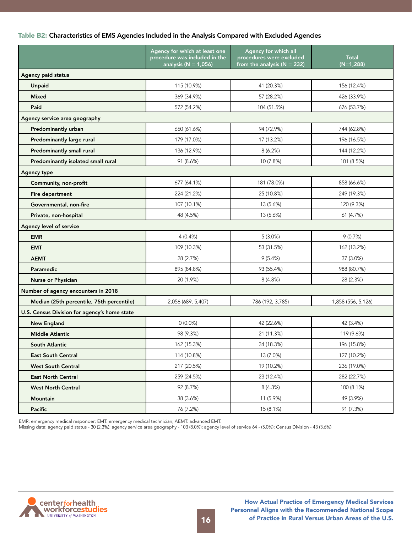### Table B2: Characteristics of EMS Agencies Included in the Analysis Compared with Excluded Agencies

|                                              | Agency for which at least one<br>procedure was included in the<br>analysis ( $N = 1,056$ ) | Agency for which all<br>procedures were excluded<br>from the analysis ( $N = 232$ ) | <b>Total</b><br>$(N=1,288)$ |
|----------------------------------------------|--------------------------------------------------------------------------------------------|-------------------------------------------------------------------------------------|-----------------------------|
| Agency paid status                           |                                                                                            |                                                                                     |                             |
| Unpaid                                       | 115 (10.9%)                                                                                | 41 (20.3%)                                                                          | 156 (12.4%)                 |
| <b>Mixed</b>                                 | 369 (34.9%)                                                                                | 57 (28.2%)                                                                          | 426 (33.9%)                 |
| Paid                                         | 572 (54.2%)                                                                                | 104 (51.5%)                                                                         | 676 (53.7%)                 |
| Agency service area geography                |                                                                                            |                                                                                     |                             |
| Predominantly urban                          | 650 (61.6%)                                                                                | 94 (72.9%)                                                                          | 744 (62.8%)                 |
| Predominantly large rural                    | 179 (17.0%)                                                                                | 17 (13.2%)                                                                          | 196 (16.5%)                 |
| Predominantly small rural                    | 136 (12.9%)                                                                                | 8(6.2%)                                                                             | 144 (12.2%)                 |
| Predominantly isolated small rural           | 91 (8.6%)                                                                                  | 10 (7.8%)                                                                           | 101 (8.5%)                  |
| Agency type                                  |                                                                                            |                                                                                     |                             |
| Community, non-profit                        | 677 (64.1%)                                                                                | 181 (78.0%)                                                                         | 858 (66.6%)                 |
| Fire department                              | 224 (21.2%)                                                                                | 25 (10.8%)                                                                          | 249 (19.3%)                 |
| Governmental, non-fire                       | 107 (10.1%)                                                                                | 13 (5.6%)                                                                           | 120 (9.3%)                  |
| Private, non-hospital                        | 48 (4.5%)                                                                                  | 13 (5.6%)                                                                           | 61 (4.7%)                   |
| Agency level of service                      |                                                                                            |                                                                                     |                             |
| <b>EMR</b>                                   | 4(0.4%)                                                                                    | 5(3.0%)                                                                             | 9(0.7%)                     |
| <b>EMT</b>                                   | 109 (10.3%)                                                                                | 53 (31.5%)                                                                          | 162 (13.2%)                 |
| <b>AEMT</b>                                  | 28 (2.7%)                                                                                  | 9(5.4%)                                                                             | 37 (3.0%)                   |
| Paramedic                                    | 895 (84.8%)                                                                                | 93 (55.4%)                                                                          | 988 (80.7%)                 |
| Nurse or Physician                           | 20 (1.9%)                                                                                  | 8 (4.8%)                                                                            | 28 (2.3%)                   |
| Number of agency encounters in 2018          |                                                                                            |                                                                                     |                             |
| Median (25th percentile, 75th percentile)    | 2,056 (689, 5,407)                                                                         | 786 (192, 3,785)                                                                    | 1,858 (556, 5,126)          |
| U.S. Census Division for agency's home state |                                                                                            |                                                                                     |                             |
| <b>New England</b>                           | $0(0.0\%)$                                                                                 | 42 (22.6%)                                                                          | 42 (3.4%)                   |
| <b>Middle Atlantic</b>                       | 98 (9.3%)                                                                                  | 21 (11.3%)                                                                          | 119 (9.6%)                  |
| South Atlantic                               | 162 (15.3%)                                                                                | 34 (18.3%)                                                                          | 196 (15.8%)                 |
| <b>East South Central</b>                    | 114 (10.8%)                                                                                | 13 (7.0%)                                                                           | 127 (10.2%)                 |
| <b>West South Central</b>                    | 217 (20.5%)                                                                                | 19 (10.2%)                                                                          | 236 (19.0%)                 |
| <b>East North Central</b>                    | 259 (24.5%)                                                                                | 23 (12.4%)                                                                          | 282 (22.7%)                 |
| <b>West North Central</b>                    | 92 (8.7%)                                                                                  | 8 (4.3%)                                                                            | 100 (8.1%)                  |
| Mountain                                     | 38 (3.6%)                                                                                  | 11 (5.9%)                                                                           | 49 (3.9%)                   |
| Pacific                                      | 76 (7.2%)                                                                                  | 15 (8.1%)                                                                           | 91 (7.3%)                   |

EMR: emergency medical responder; EMT: emergency medical technician; AEMT: advanced EMT.

Missing data: agency paid status - 30 (2.3%); agency service area geography - 103 (8.0%); agency level of service 64 - (5.0%); Census Division - 43 (3.6%)

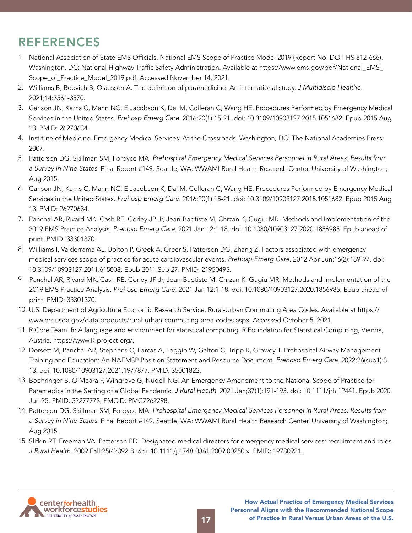# <span id="page-16-0"></span>REFERENCES

- 1. National Association of State EMS Officials. National EMS Scope of Practice Model 2019 (Report No. DOT HS 812-666). Washington, DC: National Highway Traffic Safety Administration. Available at https://www.ems.gov/pdf/National\_EMS\_ Scope\_of\_Practice\_Model\_2019.pdf. Accessed November 14, 2021.
- 2. Williams B, Beovich B, Olaussen A. The definition of paramedicine: An international study. *J Multidiscip Healthc*. 2021;14:3561-3570.
- 3. Carlson JN, Karns C, Mann NC, E Jacobson K, Dai M, Colleran C, Wang HE. Procedures Performed by Emergency Medical Services in the United States. *Prehosp Emerg Care*. 2016;20(1):15-21. doi: 10.3109/10903127.2015.1051682. Epub 2015 Aug 13. PMID: 26270634.
- 4. Institute of Medicine. Emergency Medical Services: At the Crossroads. Washington, DC: The National Academies Press; 2007.
- 5. Patterson DG, Skillman SM, Fordyce MA. *Prehospital Emergency Medical Services Personnel in Rural Areas: Results from a Survey in Nine States.* Final Report #149. Seattle, WA: WWAMI Rural Health Research Center, University of Washington; Aug 2015.
- 6. Carlson JN, Karns C, Mann NC, E Jacobson K, Dai M, Colleran C, Wang HE. Procedures Performed by Emergency Medical Services in the United States. *Prehosp Emerg Care*. 2016;20(1):15-21. doi: 10.3109/10903127.2015.1051682. Epub 2015 Aug 13. PMID: 26270634.
- 7. Panchal AR, Rivard MK, Cash RE, Corley JP Jr, Jean-Baptiste M, Chrzan K, Gugiu MR. Methods and Implementation of the 2019 EMS Practice Analysis. *Prehosp Emerg Care*. 2021 Jan 12:1-18. doi: 10.1080/10903127.2020.1856985. Epub ahead of print. PMID: 33301370.
- 8. Williams I, Valderrama AL, Bolton P, Greek A, Greer S, Patterson DG, Zhang Z. Factors associated with emergency medical services scope of practice for acute cardiovascular events. *Prehosp Emerg Care*. 2012 Apr-Jun;16(2):189-97. doi: 10.3109/10903127.2011.615008. Epub 2011 Sep 27. PMID: 21950495.
- 9. Panchal AR, Rivard MK, Cash RE, Corley JP Jr, Jean-Baptiste M, Chrzan K, Gugiu MR. Methods and Implementation of the 2019 EMS Practice Analysis. *Prehosp Emerg Care*. 2021 Jan 12:1-18. doi: 10.1080/10903127.2020.1856985. Epub ahead of print. PMID: 33301370.
- 10. U.S. Department of Agriculture Economic Research Service. Rural-Urban Commuting Area Codes. Available at https:// www.ers.usda.gov/data-products/rural-urban-commuting-area-codes.aspx. Accessed October 5, 2021.
- 11. R Core Team. R: A language and environment for statistical computing. R Foundation for Statistical Computing, Vienna, Austria. https://www.R-project.org/.
- 12. Dorsett M, Panchal AR, Stephens C, Farcas A, Leggio W, Galton C, Tripp R, Grawey T. Prehospital Airway Management Training and Education: An NAEMSP Position Statement and Resource Document. *Prehosp Emerg Care*. 2022;26(sup1):3- 13. doi: 10.1080/10903127.2021.1977877. PMID: 35001822.
- 13. Boehringer B, O'Meara P, Wingrove G, Nudell NG. An Emergency Amendment to the National Scope of Practice for Paramedics in the Setting of a Global Pandemic. *J Rural Health*. 2021 Jan;37(1):191-193. doi: 10.1111/jrh.12441. Epub 2020 Jun 25. PMID: 32277773; PMCID: PMC7262298.
- 14. Patterson DG, Skillman SM, Fordyce MA. *Prehospital Emergency Medical Services Personnel in Rural Areas: Results from a Survey in Nine States.* Final Report #149. Seattle, WA: WWAMI Rural Health Research Center, University of Washington; Aug 2015.
- 15. Slifkin RT, Freeman VA, Patterson PD. Designated medical directors for emergency medical services: recruitment and roles. *J Rural Health*. 2009 Fall;25(4):392-8. doi: 10.1111/j.1748-0361.2009.00250.x. PMID: 19780921.